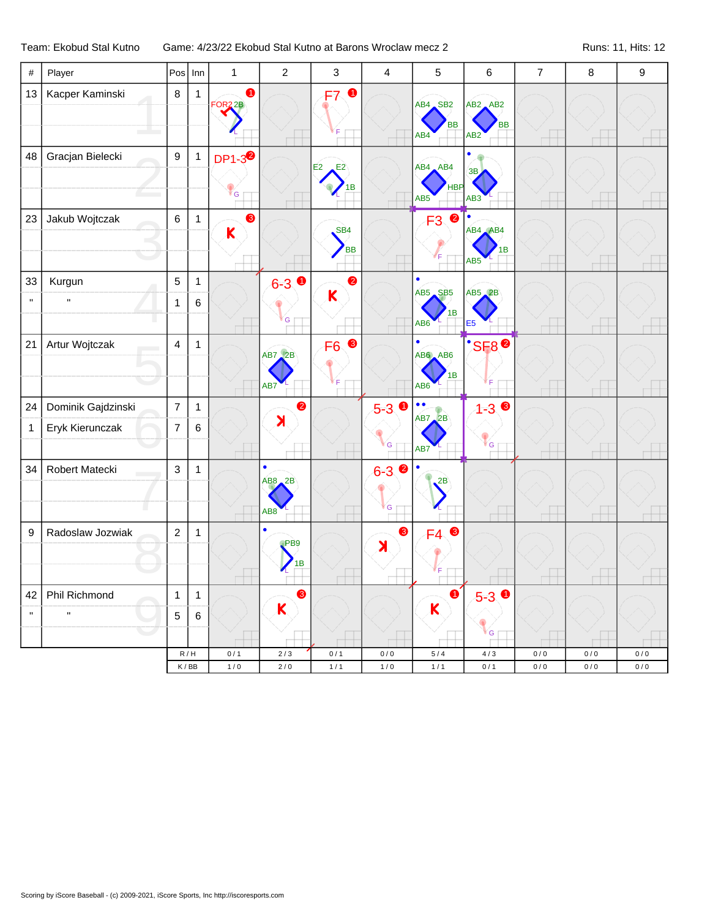## Team: Ekobud Stal Kutno Game: 4/23/22 Ekobud Stal Kutno at Barons Wroclaw mecz 2 Runs: 11, Hits: 12

| #                  | Player                                |                                  | $Pos$ Inn               | $\mathbf{1}$                     | $\overline{2}$                                        | $\sqrt{3}$                   | 4                          | $\mathbf 5$                                     | $\,6$                                       | $\overline{7}$     | $\,8\,$            | $\boldsymbol{9}$ |
|--------------------|---------------------------------------|----------------------------------|-------------------------|----------------------------------|-------------------------------------------------------|------------------------------|----------------------------|-------------------------------------------------|---------------------------------------------|--------------------|--------------------|------------------|
| 13                 | Kacper Kaminski                       | $\bf 8$                          | $\mathbf{1}$            | $\bullet$<br>FOR <sub>2</sub> 2B |                                                       | $\bullet$<br>F7              |                            | AB4 SB2<br>BB<br>AB4                            | $AB2$ $AB2$<br><b>BB</b><br>AB <sub>2</sub> |                    |                    |                  |
| 48                 | Gracjan Bielecki                      | 9                                | $\mathbf{1}$            | DP1-3 <sup>2</sup><br>ľ G        |                                                       | E <sub>2</sub><br>E2<br>1B   |                            | AB4 AB4<br>HBP<br>AB <sub>5</sub>               | 3B<br>AB <sub>3</sub>                       |                    |                    |                  |
| 23                 | Jakub Wojtczak                        | $\,6\,$                          | $\mathbf{1}$            | 6<br>$\overline{\mathsf{K}}$     |                                                       | SB <sub>4</sub><br><b>BB</b> |                            | $\bullet$<br>F <sub>3</sub><br>F                | AB4 AB4<br>в<br>AB <sub>5</sub>             |                    |                    |                  |
| 33<br>$\mathbf{H}$ | Kurgun<br>$\mathbf{u}$                | $\overline{5}$<br>$\mathbf{1}$   | $\mathbf{1}$<br>6       |                                  | $6 - 3$<br>G                                          | $\bullet$<br>K               |                            | ٠<br>AB5 SB5<br>1B<br>AB6                       | $AB5$ $2B$<br>E <sub>5</sub>                |                    |                    |                  |
| 21                 | Artur Wojtczak                        | $\overline{4}$                   | $\mathbf{1}$            |                                  | AB7, 2B<br>AB7                                        | 8<br>F <sub>6</sub>          |                            | $AB6$ $AB6$<br>1B<br>AB <sub>6</sub>            | <b>SF8<sup>0</sup></b>                      |                    |                    |                  |
| 24<br>$\mathbf 1$  | Dominik Gajdzinski<br>Eryk Kierunczak | $\overline{7}$<br>$\overline{7}$ | $\mathbf{1}$<br>$\,6\,$ |                                  | ❷<br>$\lambda$                                        |                              | $5-3$ 0<br>G               | $\bullet\bullet$<br>$AB7$ <sub>2</sub> B<br>AB7 | $1 - 3$<br>G                                |                    |                    |                  |
| 34                 | Robert Matecki                        | $\mathbf{3}$                     | $\mathbf{1}$            |                                  | $\bullet$<br>$AB8$ <sub>-2</sub> B<br>AB <sub>8</sub> |                              | $6 - 3$ $\circ$<br>G       | 2B                                              |                                             |                    |                    |                  |
| 9                  | Radoslaw Jozwiak                      | $\mathbf 2$                      | $\mathbf{1}$            |                                  | ٠<br>P <sub>BB</sub><br>1B                            |                              | 8<br>$\blacktriangleright$ | $F4$ $\bullet$                                  |                                             |                    |                    |                  |
| 42<br>$\mathbf{H}$ | Phil Richmond<br>$\mathbf{H}$         | $\mathbf{1}$<br>5                | $\mathbf{1}$<br>6       |                                  | ❸<br>K                                                |                              |                            | $\bullet$<br>Κ                                  | $5 - 3$ 0<br>G                              |                    |                    |                  |
|                    |                                       |                                  | R/H<br>K/BB             | 0/1<br>$1/0$                     | 2/3<br>$2/0$                                          | 0/1<br>$1/1$                 | 0/0<br>1/0                 | $5/4$<br>1/1                                    | 4/3<br>0/1                                  | $0/0$<br>$0\,/\,0$ | $0/0$<br>$0\,/\,0$ | 0/0<br>$0\,/\,0$ |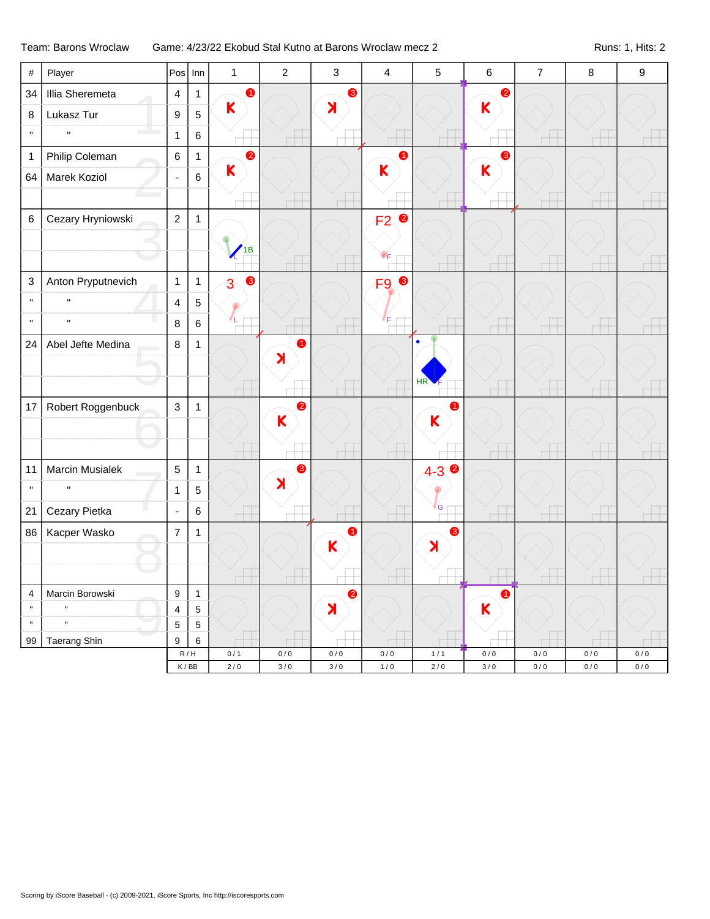## Team: Barons Wroclaw Game: 4/23/22 Ekobud Stal Kutno at Barons Wroclaw mecz 2 Runs: 1, Hits: 2

| $\#$                       | Player                         | Pos                      | Inn                       | $\mathbf{1}$                | $\overline{2}$        | $\mathbf{3}$          | $\overline{\mathbf{4}}$ | 5                     | 6                       | $\overline{7}$ | 8     | 9     |
|----------------------------|--------------------------------|--------------------------|---------------------------|-----------------------------|-----------------------|-----------------------|-------------------------|-----------------------|-------------------------|----------------|-------|-------|
| 34                         | Illia Sheremeta                | $\overline{4}$           | $\mathbf{1}$              | $\bullet$                   |                       | ❸                     |                         |                       | $\bullet$               |                |       |       |
| 8                          | Lukasz Tur                     | 9                        | 5                         | $\mathsf K$                 |                       | $\blacktriangleright$ |                         |                       | $\overline{\mathsf{K}}$ |                |       |       |
| $\mathbf{H}$               | $\mathbf{H}$                   | $\mathbf{1}$             | $\,6\,$                   |                             |                       |                       |                         |                       |                         |                |       |       |
| $\mathbf{1}$               | Philip Coleman                 | $\,6\,$                  | $\mathbf{1}$              | $\bullet$                   |                       |                       | $\bullet$               |                       | ❸                       |                |       |       |
| 64                         | Marek Koziol                   | $\blacksquare$           | $\,6\,$                   | $\overline{\mathsf{K}}$     |                       |                       | K                       |                       | $\overline{\mathsf{K}}$ |                |       |       |
|                            |                                |                          |                           |                             |                       |                       |                         |                       |                         |                |       |       |
| 6                          | Cezary Hryniowski              | $\overline{2}$           | $\mathbf{1}$              |                             |                       |                       | $\bullet$<br>F2         |                       |                         |                |       |       |
|                            |                                |                          |                           |                             |                       |                       |                         |                       |                         |                |       |       |
|                            |                                |                          |                           | 1B                          |                       |                       | ΨF                      |                       |                         |                |       |       |
| 3                          | Anton Pryputnevich             | $\mathbf{1}$             | $\mathbf{1}$              | $\bullet$<br>3 <sup>5</sup> |                       |                       | F9 <sup>®</sup>         |                       |                         |                |       |       |
| $\mathbf{u}$               | $\mathbf{u}$                   | $\overline{4}$           | $\overline{5}$            |                             |                       |                       |                         |                       |                         |                |       |       |
| $\mathbf{H}$               | $\mathbf{H}$                   | $\, 8$                   | $6\phantom{a}$            |                             |                       |                       | F                       |                       |                         |                |       |       |
| 24                         | Abel Jefte Medina              | $\,8\,$                  | $\mathbf{1}$              |                             | $\bullet$             |                       |                         |                       |                         |                |       |       |
|                            |                                |                          |                           |                             | $\lambda$             |                       |                         |                       |                         |                |       |       |
|                            |                                |                          |                           |                             |                       |                       |                         | HR                    |                         |                |       |       |
| 17                         | Robert Roggenbuck              | $\mathsf 3$              | $\mathbf{1}$              |                             | $\bullet$             |                       |                         | A                     |                         |                |       |       |
|                            |                                |                          |                           |                             | $\mathsf{K}$          |                       |                         | K                     |                         |                |       |       |
|                            |                                |                          |                           |                             |                       |                       |                         |                       |                         |                |       |       |
| 11                         | Marcin Musialek                | $\sqrt{5}$               | $\mathbf{1}$              |                             | ❸                     |                       |                         | $4 - 3$               |                         |                |       |       |
| $\mathbf{H}$               | $\mathbf{u}$                   | $\mathbf{1}$             | 5                         |                             | $\blacktriangleright$ |                       |                         |                       |                         |                |       |       |
| 21                         | Cezary Pietka                  | $\overline{\phantom{a}}$ | $\,6\,$                   |                             |                       |                       |                         | <b>G</b>              |                         |                |       |       |
| 86                         | Kacper Wasko                   | $\overline{7}$           | $\mathbf{1}$              |                             |                       | A                     |                         | ❸                     |                         |                |       |       |
|                            |                                |                          |                           |                             |                       | K                     |                         | $\blacktriangleright$ |                         |                |       |       |
|                            |                                |                          |                           |                             |                       |                       |                         |                       |                         |                |       |       |
| $\overline{\mathbf{4}}$    | Marcin Borowski                | $\boldsymbol{9}$         | $\mathbf{1}$              |                             |                       | 2                     |                         |                       | $\bullet$               |                |       |       |
| $\mathbf u$<br>$\mathbf u$ | $\blacksquare$<br>$\mathbf{u}$ | $\overline{\mathbf{4}}$  | $\,$ 5 $\,$               |                             |                       | $\blacktriangleright$ |                         |                       | K                       |                |       |       |
| 99                         | Taerang Shin                   | 5<br>9                   | $\sqrt{5}$<br>6           |                             |                       |                       |                         |                       |                         |                |       |       |
|                            |                                |                          | $\mathsf R\,/\,\mathsf H$ | 0/1                         | 0/0                   | $0\,/\,0$             | $0\,/\,0$               | $1/1$                 | $0/0$                   | $0/0$          | $0/0$ | $0/0$ |
|                            |                                |                          | K/BB                      | 2/0                         | 3/0                   | 3/0                   | 1/0                     | 2/0                   | 3/0                     | 0/0            | 0/0   | 0/0   |